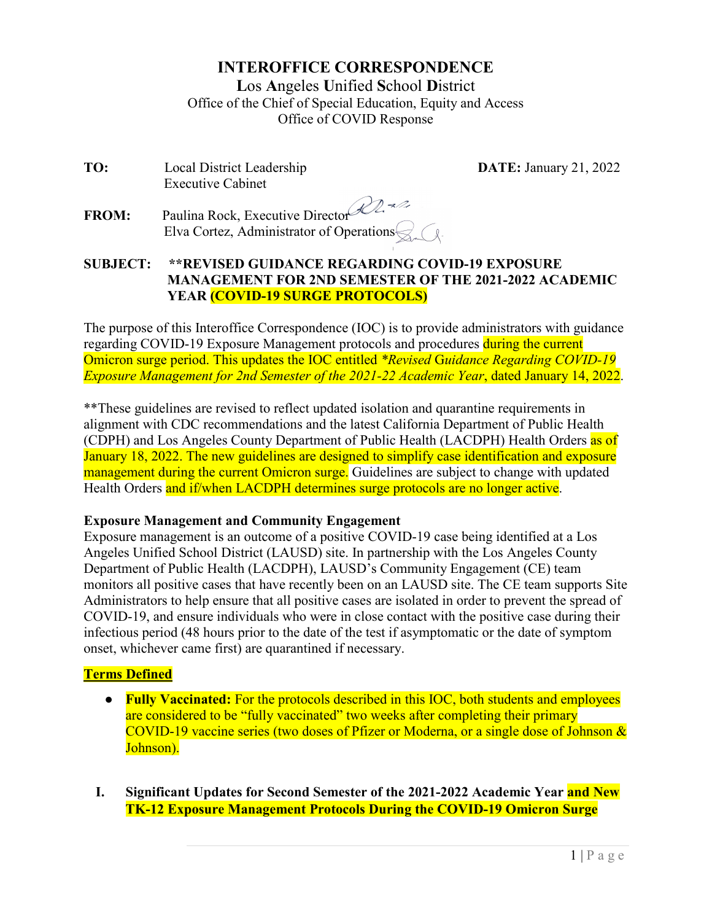# **INTEROFFICE CORRESPONDENCE**

**L**os **A**ngeles **U**nified **S**chool **D**istrict Office of the Chief of Special Education, Equity and Access Office of COVID Response

**TO:** Local District Leadership **DATE:** January 21, 2022 Executive Cabinet

**FROM:** Paulina Rock, Executive Director Elva Cortez, Administrator of Operations  $\leq$ 

#### **SUBJECT: \*\*REVISED GUIDANCE REGARDING COVID-19 EXPOSURE MANAGEMENT FOR 2ND SEMESTER OF THE 2021-2022 ACADEMIC YEAR (COVID-19 SURGE PROTOCOLS)**

The purpose of this Interoffice Correspondence (IOC) is to provide administrators with guidance regarding COVID-19 Exposure Management protocols and procedures during the current Omicron surge period. This updates the IOC entitled *\*Revised* G*uidance Regarding COVID-19 Exposure Management for 2nd Semester of the 2021-22 Academic Year*, dated January 14, 2022.

\*\*These guidelines are revised to reflect updated isolation and quarantine requirements in alignment with CDC recommendations and the latest California Department of Public Health (CDPH) and Los Angeles County Department of Public Health (LACDPH) Health Orders as of January 18, 2022. The new guidelines are designed to simplify case identification and exposure management during the current Omicron surge. Guidelines are subject to change with updated Health Orders and if/when LACDPH determines surge protocols are no longer active.

#### **Exposure Management and Community Engagement**

Exposure management is an outcome of a positive COVID-19 case being identified at a Los Angeles Unified School District (LAUSD) site. In partnership with the Los Angeles County Department of Public Health (LACDPH), LAUSD's Community Engagement (CE) team monitors all positive cases that have recently been on an LAUSD site. The CE team supports Site Administrators to help ensure that all positive cases are isolated in order to prevent the spread of COVID-19, and ensure individuals who were in close contact with the positive case during their infectious period (48 hours prior to the date of the test if asymptomatic or the date of symptom onset, whichever came first) are quarantined if necessary.

## **Terms Defined**

- **Fully Vaccinated:** For the protocols described in this IOC, both students and employees are considered to be "fully vaccinated" two weeks after completing their primary COVID-19 vaccine series (two doses of Pfizer or Moderna, or a single dose of Johnson & Johnson).
- **I. Significant Updates for Second Semester of the 2021-2022 Academic Year and New TK-12 Exposure Management Protocols During the COVID-19 Omicron Surge**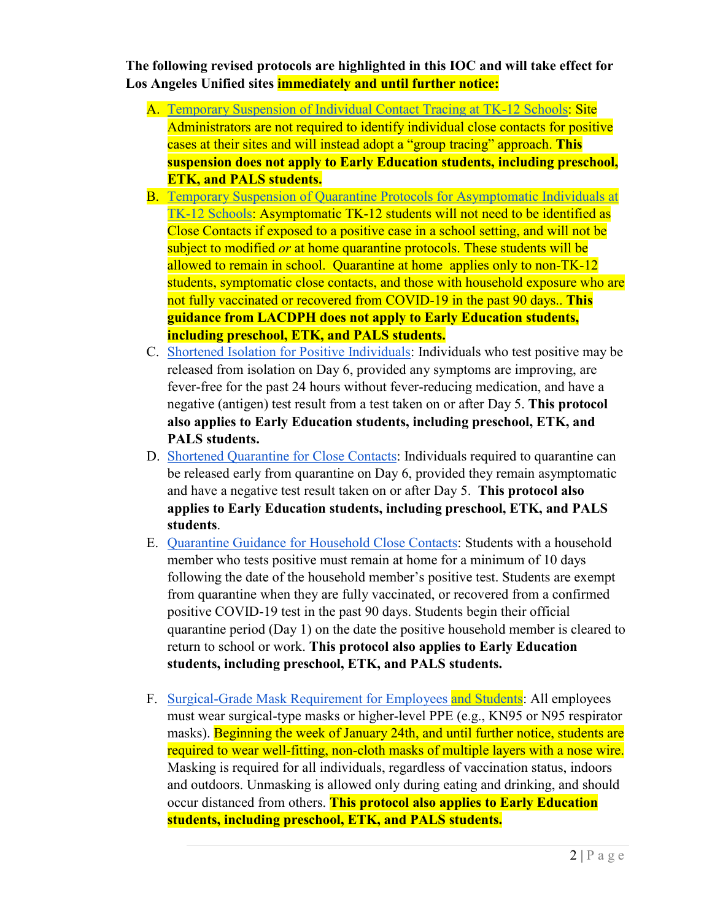**The following revised protocols are highlighted in this IOC and will take effect for Los Angeles Unified sites immediately and until further notice:** 

- A. [Temporary Suspension of Individual Contact Tracing at TK-12 Schools:](#page-2-0) Site Administrators are not required to identify individual close contacts for positive cases at their sites and will instead adopt a "group tracing" approach. **This suspension does not apply to Early Education students, including preschool, ETK, and PALS students.**
- B. [Temporary Suspension of Quarantine Protocols for Asymptomatic Individuals at](#page-2-1)  [TK-12 Schools:](#page-2-1) Asymptomatic TK-12 students will not need to be identified as Close Contacts if exposed to a positive case in a school setting, and will not be subject to modified *or* at home quarantine protocols. These students will be allowed to remain in school. Quarantine at home applies only to non-TK-12 students, symptomatic close contacts, and those with household exposure who are not fully vaccinated or recovered from COVID-19 in the past 90 days.. **This guidance from LACDPH does not apply to Early Education students, including preschool, ETK, and PALS students.**
- C. Shortened [Isolation for Positive Individuals:](#page-3-0) Individuals who test positive may be released from isolation on Day 6, provided any symptoms are improving, are fever-free for the past 24 hours without fever-reducing medication, and have a negative (antigen) test result from a test taken on or after Day 5. **This protocol also applies to Early Education students, including preschool, ETK, and PALS students.**
- D. [Shortened Quarantine for Close Contacts:](#page-4-0) Individuals required to quarantine can be released early from quarantine on Day 6, provided they remain asymptomatic and have a negative test result taken on or after Day 5. **This protocol also applies to Early Education students, including preschool, ETK, and PALS students**.
- E. [Quarantine Guidance for Household Close Contacts:](#page-5-0) Students with a household member who tests positive must remain at home for a minimum of 10 days following the date of the household member's positive test. Students are exempt from quarantine when they are fully vaccinated, or recovered from a confirmed positive COVID-19 test in the past 90 days. Students begin their official quarantine period (Day 1) on the date the positive household member is cleared to return to school or work. **This protocol also applies to Early Education students, including preschool, ETK, and PALS students.**
- F. [Surgical-Grade Mask Requirement for Employees and Students:](#page-6-0) All employees must wear surgical-type masks or higher-level PPE (e.g., KN95 or N95 respirator masks). Beginning the week of January 24th, and until further notice, students are required to wear well-fitting, non-cloth masks of multiple layers with a nose wire. Masking is required for all individuals, regardless of vaccination status, indoors and outdoors. Unmasking is allowed only during eating and drinking, and should occur distanced from others. **This protocol also applies to Early Education students, including preschool, ETK, and PALS students.**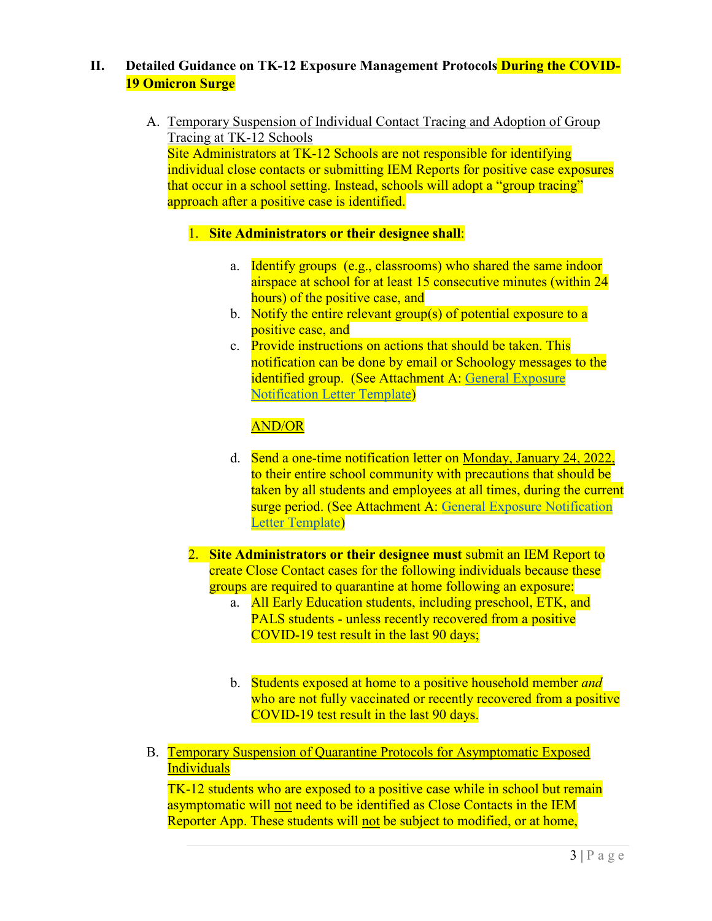# <span id="page-2-0"></span>**II. Detailed Guidance on TK-12 Exposure Management Protocols During the COVID-19 Omicron Surge**

A. Temporary Suspension of Individual Contact Tracing and Adoption of Group Tracing at TK-12 Schools

Site Administrators at TK-12 Schools are not responsible for identifying individual close contacts or submitting IEM Reports for positive case exposures that occur in a school setting. Instead, schools will adopt a "group tracing" approach after a positive case is identified.

#### 1. **Site Administrators or their designee shall**:

- a. Identify groups (e.g., classrooms) who shared the same indoor airspace at school for at least 15 consecutive minutes (within 24 hours) of the positive case, and
- b. Notify the entire relevant group(s) of potential exposure to a positive case, and
- c. Provide instructions on actions that should be taken. This notification can be done by email or Schoology messages to the identified group. (See Attachment A: [General Exposure](https://docs.google.com/document/d/1U2mAaEda7DUHVpKrXBaahhhCmxSmxWOdMg3jU7sJK4E/copy)  [Notification Letter Template\)](https://docs.google.com/document/d/1U2mAaEda7DUHVpKrXBaahhhCmxSmxWOdMg3jU7sJK4E/copy)

# AND/OR

- d. Send a one-time notification letter on Monday, January 24, 2022, to their entire school community with precautions that should be taken by all students and employees at all times, during the current surge period. (See Attachment A: [General Exposure Notification](https://docs.google.com/document/d/1U2mAaEda7DUHVpKrXBaahhhCmxSmxWOdMg3jU7sJK4E/copy)  [Letter Template\)](https://docs.google.com/document/d/1U2mAaEda7DUHVpKrXBaahhhCmxSmxWOdMg3jU7sJK4E/copy)
- 2. **Site Administrators or their designee must** submit an IEM Report to create Close Contact cases for the following individuals because these groups are required to quarantine at home following an exposure:
	- a. All Early Education students, including preschool, ETK, and PALS students - unless recently recovered from a positive COVID-19 test result in the last 90 days;
	- b. Students exposed at home to a positive household member *and* who are not fully vaccinated or recently recovered from a positive COVID-19 test result in the last 90 days.
- <span id="page-2-1"></span>B. Temporary Suspension of Quarantine Protocols for Asymptomatic Exposed **Individuals**

TK-12 students who are exposed to a positive case while in school but remain asymptomatic will not need to be identified as Close Contacts in the IEM Reporter App. These students will not be subject to modified, or at home,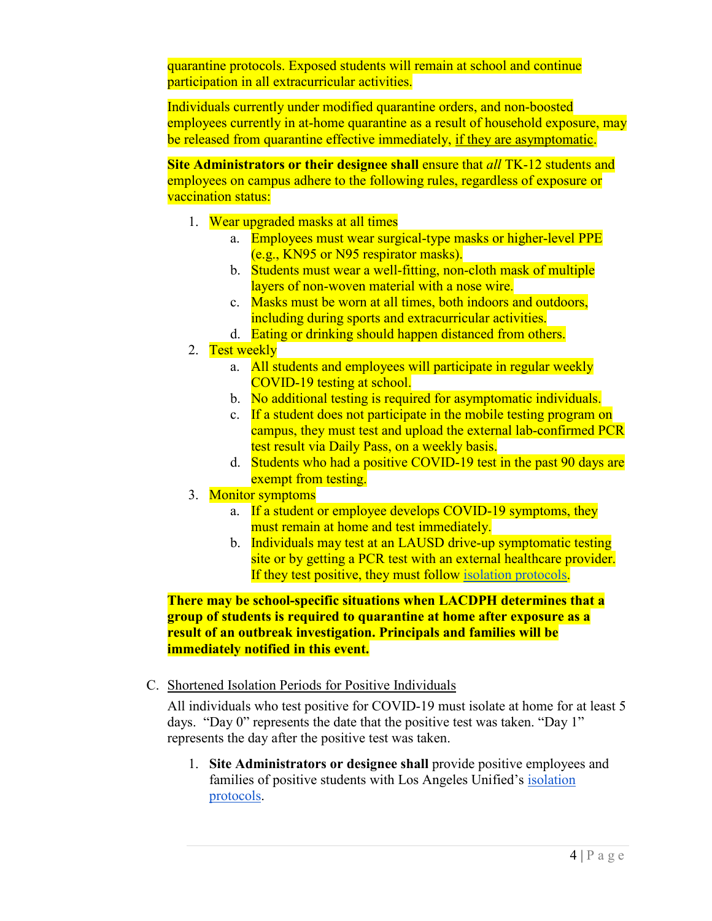quarantine protocols. Exposed students will remain at school and continue participation in all extracurricular activities.

Individuals currently under modified quarantine orders, and non-boosted employees currently in at-home quarantine as a result of household exposure, may be released from quarantine effective immediately, if they are asymptomatic.

**Site Administrators or their designee shall** ensure that *all* TK-12 students and employees on campus adhere to the following rules, regardless of exposure or vaccination status:

- 1. Wear upgraded masks at all times
	- a. Employees must wear surgical-type masks or higher-level PPE (e.g., KN95 or N95 respirator masks).
	- b. Students must wear a well-fitting, non-cloth mask of multiple layers of non-woven material with a nose wire.
	- c. Masks must be worn at all times, both indoors and outdoors, including during sports and extracurricular activities.
	- d. Eating or drinking should happen distanced from others.
- 2. Test weekly
	- a. All students and employees will participate in regular weekly COVID-19 testing at school.
	- b. No additional testing is required for asymptomatic individuals.
	- c. If a student does not participate in the mobile testing program on campus, they must test and upload the external lab-confirmed PCR test result via Daily Pass, on a weekly basis.
	- d. Students who had a positive COVID-19 test in the past 90 days are exempt from testing.
- 3. Monitor symptoms
	- a. If a student or employee develops COVID-19 symptoms, they must remain at home and test immediately.
	- b. Individuals may test at an LAUSD drive-up symptomatic testing site or by getting a PCR test with an external healthcare provider. If they test positive, they must follow [isolation protocols.](https://drive.google.com/file/d/1oddt9FU_ND6cwZ85Hrz0c4CNmbiQ_8S1/view)

**There may be school-specific situations when LACDPH determines that a group of students is required to quarantine at home after exposure as a result of an outbreak investigation. Principals and families will be immediately notified in this event.**

<span id="page-3-0"></span>C. Shortened Isolation Periods for Positive Individuals

All individuals who test positive for COVID-19 must isolate at home for at least 5 days. "Day 0" represents the date that the positive test was taken. "Day 1" represents the day after the positive test was taken.

1. **Site Administrators or designee shall** provide positive employees and families of positive students with Los Angeles Unified's [isolation](https://drive.google.com/file/d/1oddt9FU_ND6cwZ85Hrz0c4CNmbiQ_8S1/view)  [protocols.](https://drive.google.com/file/d/1oddt9FU_ND6cwZ85Hrz0c4CNmbiQ_8S1/view)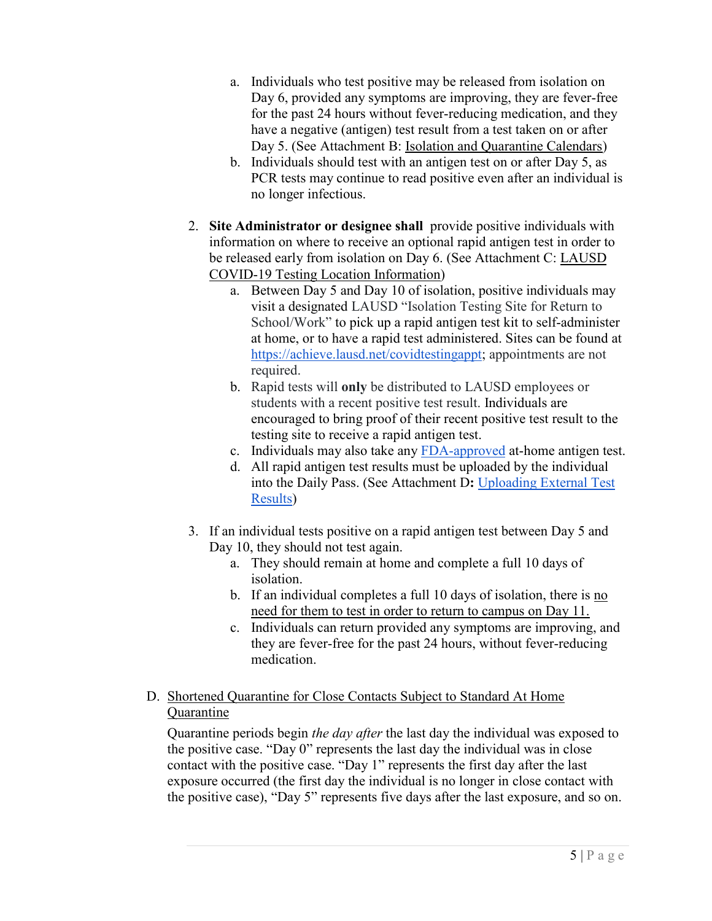- a. Individuals who test positive may be released from isolation on Day 6, provided any symptoms are improving, they are fever-free for the past 24 hours without fever-reducing medication, and they have a negative (antigen) test result from a test taken on or after Day 5. (See Attachment B: [Isolation and Quarantine Calendars\)](https://drive.google.com/file/d/1cOn6dOorsPbthVYyYE10uceStdHdvd4w/view?usp=sharing)
- b. Individuals should test with an antigen test on or after Day 5, as PCR tests may continue to read positive even after an individual is no longer infectious.
- 2. **Site Administrator or designee shall** provide positive individuals with information on where to receive an optional rapid antigen test in order to be released early from isolation on Day 6. (See Attachment C: [LAUSD](https://drive.google.com/file/d/1GGP24etjaxo5XuceZQzUzRMCCioAUrLR/view?usp=sharing)  [COVID-19 Testing Location Information\)](https://drive.google.com/file/d/1GGP24etjaxo5XuceZQzUzRMCCioAUrLR/view?usp=sharing)
	- a. Between Day 5 and Day 10 of isolation, positive individuals may visit a designated LAUSD "Isolation Testing Site for Return to School/Work" to pick up a rapid antigen test kit to self-administer at home, or to have a rapid test administered. Sites can be found at [https://achieve.lausd.net/covidtestingappt;](https://achieve.lausd.net/covidtestingappt) appointments are not required.
	- b. Rapid tests will **only** be distributed to LAUSD employees or students with a recent positive test result. Individuals are encouraged to bring proof of their recent positive test result to the testing site to receive a rapid antigen test.
	- c. Individuals may also take any [FDA-approved](https://www.fda.gov/medical-devices/coronavirus-disease-2019-covid-19-emergency-use-authorizations-medical-devices/in-vitro-diagnostics-euas-antigen-diagnostic-tests-sars-cov-2) at-home antigen test.
	- d. All rapid antigen test results must be uploaded by the individual into the Daily Pass. (See Attachment D**:** [Uploading External Test](https://drive.google.com/file/d/1E1V_cWCrn8h0Tf5E_DFaU0dbSdakNVmI/view?usp=sharing)  [Results\)](https://drive.google.com/file/d/1E1V_cWCrn8h0Tf5E_DFaU0dbSdakNVmI/view?usp=sharing)
- 3. If an individual tests positive on a rapid antigen test between Day 5 and Day 10, they should not test again.
	- a. They should remain at home and complete a full 10 days of isolation.
	- b. If an individual completes a full 10 days of isolation, there is no need for them to test in order to return to campus on Day 11.
	- c. Individuals can return provided any symptoms are improving, and they are fever-free for the past 24 hours, without fever-reducing medication.
- <span id="page-4-0"></span>D. Shortened Quarantine for Close Contacts Subject to Standard At Home **Quarantine**

Quarantine periods begin *the day after* the last day the individual was exposed to the positive case. "Day 0" represents the last day the individual was in close contact with the positive case. "Day 1" represents the first day after the last exposure occurred (the first day the individual is no longer in close contact with the positive case), "Day 5" represents five days after the last exposure, and so on.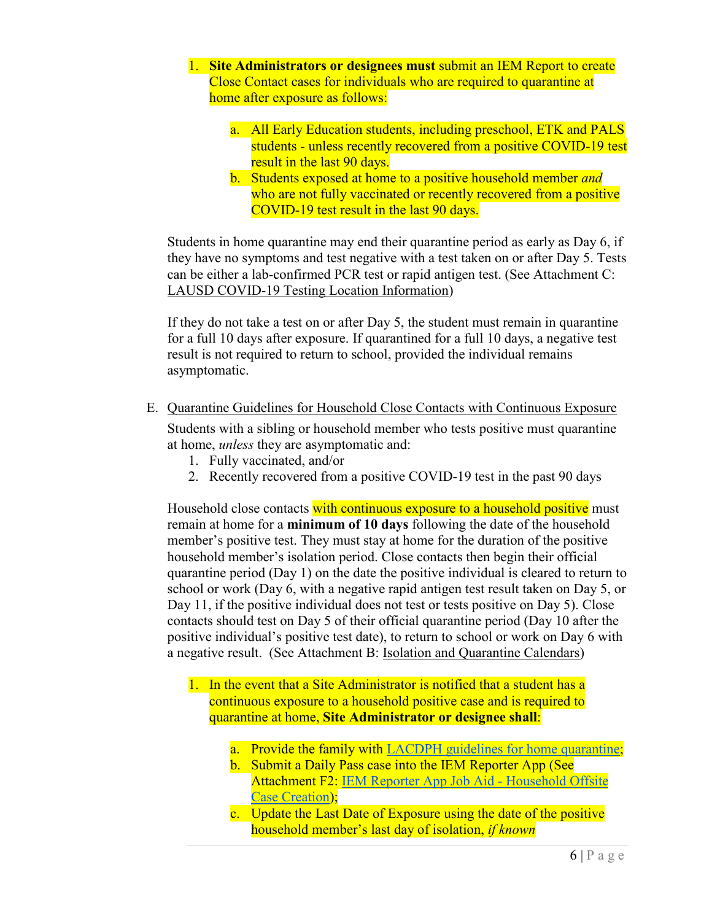- 1. **Site Administrators or designees must** submit an IEM Report to create Close Contact cases for individuals who are required to quarantine at home after exposure as follows:
	- a. All Early Education students, including preschool, ETK and PALS students - unless recently recovered from a positive COVID-19 test result in the last 90 days.
	- b. Students exposed at home to a positive household member *and* who are not fully vaccinated or recently recovered from a positive COVID-19 test result in the last 90 days.

Students in home quarantine may end their quarantine period as early as Day 6, if they have no symptoms and test negative with a test taken on or after Day 5. Tests can be either a lab-confirmed PCR test or rapid antigen test. (See Attachment C: [LAUSD COVID-19 Testing Location Information\)](https://drive.google.com/file/d/1GGP24etjaxo5XuceZQzUzRMCCioAUrLR/view?usp=sharing)

If they do not take a test on or after Day 5, the student must remain in quarantine for a full 10 days after exposure. If quarantined for a full 10 days, a negative test result is not required to return to school, provided the individual remains asymptomatic.

<span id="page-5-0"></span>E. Quarantine Guidelines for Household Close Contacts with Continuous Exposure

Students with a sibling or household member who tests positive must quarantine at home, *unless* they are asymptomatic and:

- 1. Fully vaccinated, and/or
- 2. Recently recovered from a positive COVID-19 test in the past 90 days

Household close contacts with continuous exposure to a household positive must remain at home for a **minimum of 10 days** following the date of the household member's positive test. They must stay at home for the duration of the positive household member's isolation period. Close contacts then begin their official quarantine period (Day 1) on the date the positive individual is cleared to return to school or work (Day 6, with a negative rapid antigen test result taken on Day 5, or Day 11, if the positive individual does not test or tests positive on Day 5). Close contacts should test on Day 5 of their official quarantine period (Day 10 after the positive individual's positive test date), to return to school or work on Day 6 with a negative result. (See Attachment B: [Isolation and Quarantine Calendars\)](https://drive.google.com/file/d/1cOn6dOorsPbthVYyYE10uceStdHdvd4w/view?usp=sharing)

- 1. In the event that a Site Administrator is notified that a student has a continuous exposure to a household positive case and is required to quarantine at home, **Site Administrator or designee shall**:
	- a. Provide the family with [LACDPH guidelines for home quarantine;](http://publichealth.lacounty.gov/acd/docs/COVHomeQuarantine.pdf)
	- b. Submit a Daily Pass case into the IEM Reporter App (See Attachment F2: [IEM Reporter App Job Aid -](https://drive.google.com/file/d/1DR5hGDf5ZZPkhbTa0S_d5XGlwScREzJc/view) Household Offsite [Case Creation\)](https://drive.google.com/file/d/1DR5hGDf5ZZPkhbTa0S_d5XGlwScREzJc/view);
	- c. Update the Last Date of Exposure using the date of the positive household member's last day of isolation, *if known*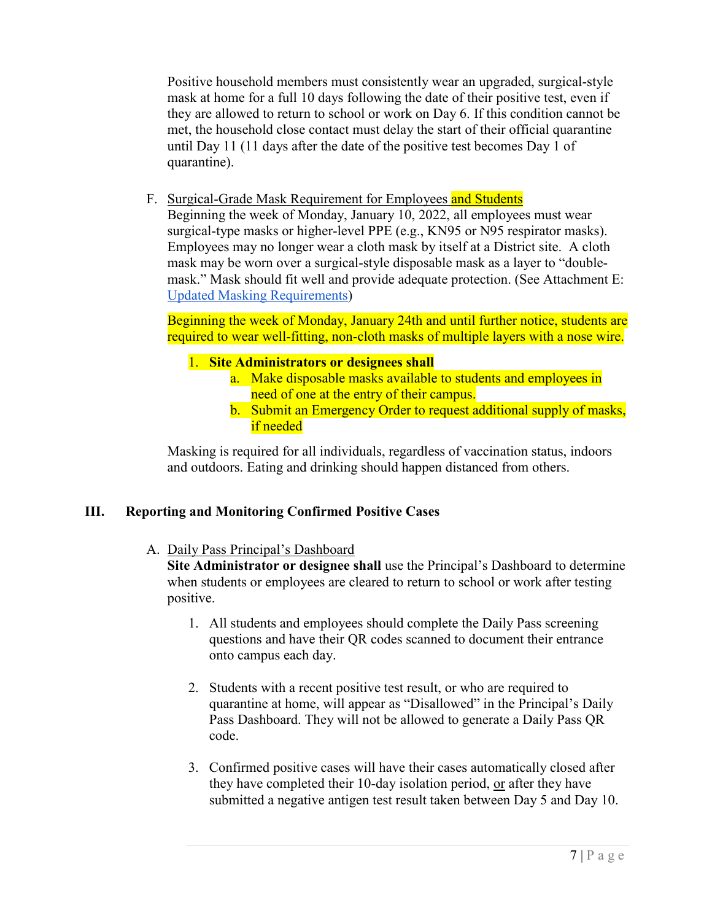Positive household members must consistently wear an upgraded, surgical-style mask at home for a full 10 days following the date of their positive test, even if they are allowed to return to school or work on Day 6. If this condition cannot be met, the household close contact must delay the start of their official quarantine until Day 11 (11 days after the date of the positive test becomes Day 1 of quarantine).

<span id="page-6-0"></span>F. Surgical-Grade Mask Requirement for Employees and Students

Beginning the week of Monday, January 10, 2022, all employees must wear surgical-type masks or higher-level PPE (e.g., KN95 or N95 respirator masks). Employees may no longer wear a cloth mask by itself at a District site. A cloth mask may be worn over a surgical-style disposable mask as a layer to "doublemask." Mask should fit well and provide adequate protection. (See Attachment E: [Updated Masking Requirements\)](https://achieve.lausd.net/cms/lib/CA01000043/Centricity/Domain/318/Updated_Mask_Requirement_0122_FINAL.pdf)

Beginning the week of Monday, January 24th and until further notice, students are required to wear well-fitting, non-cloth masks of multiple layers with a nose wire.

## 1. **Site Administrators or designees shall**

- a. Make disposable masks available to students and employees in need of one at the entry of their campus.
- b. Submit an Emergency Order to request additional supply of masks, if needed

Masking is required for all individuals, regardless of vaccination status, indoors and outdoors. Eating and drinking should happen distanced from others.

## **III. Reporting and Monitoring Confirmed Positive Cases**

A. Daily Pass Principal's Dashboard

**Site Administrator or designee shall** use the Principal's Dashboard to determine when students or employees are cleared to return to school or work after testing positive.

- 1. All students and employees should complete the Daily Pass screening questions and have their QR codes scanned to document their entrance onto campus each day.
- 2. Students with a recent positive test result, or who are required to quarantine at home, will appear as "Disallowed" in the Principal's Daily Pass Dashboard. They will not be allowed to generate a Daily Pass QR code.
- 3. Confirmed positive cases will have their cases automatically closed after they have completed their 10-day isolation period, or after they have submitted a negative antigen test result taken between Day 5 and Day 10.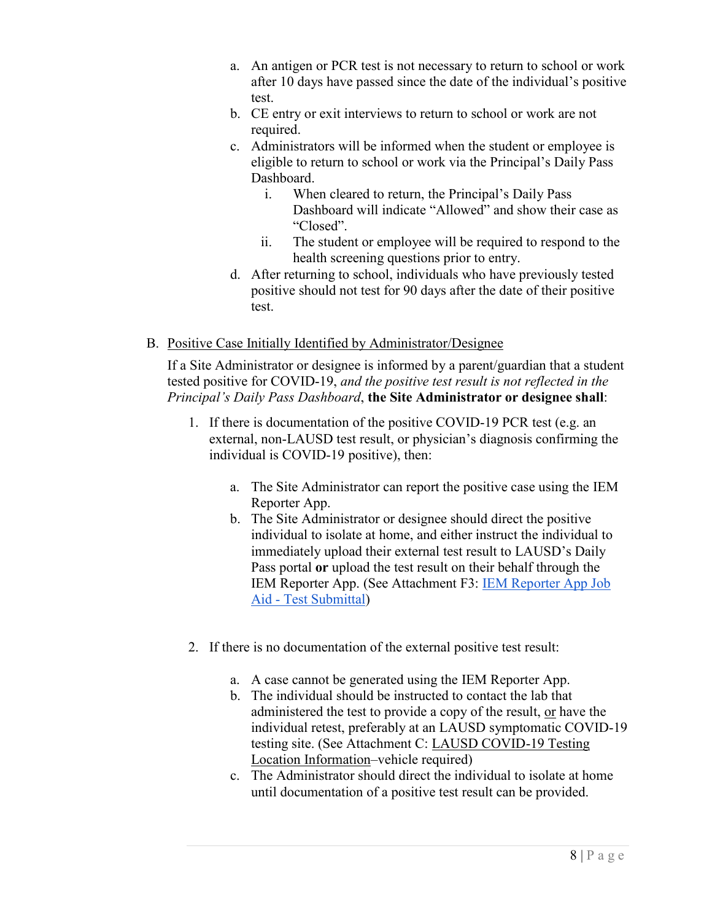- a. An antigen or PCR test is not necessary to return to school or work after 10 days have passed since the date of the individual's positive test.
- b. CE entry or exit interviews to return to school or work are not required.
- c. Administrators will be informed when the student or employee is eligible to return to school or work via the Principal's Daily Pass Dashboard.
	- i. When cleared to return, the Principal's Daily Pass Dashboard will indicate "Allowed" and show their case as "Closed".
	- ii. The student or employee will be required to respond to the health screening questions prior to entry.
- d. After returning to school, individuals who have previously tested positive should not test for 90 days after the date of their positive test.
- B. Positive Case Initially Identified by Administrator/Designee

If a Site Administrator or designee is informed by a parent/guardian that a student tested positive for COVID-19, *and the positive test result is not reflected in the Principal's Daily Pass Dashboard*, **the Site Administrator or designee shall**:

- 1. If there is documentation of the positive COVID-19 PCR test (e.g. an external, non-LAUSD test result, or physician's diagnosis confirming the individual is COVID-19 positive), then:
	- a. The Site Administrator can report the positive case using the IEM Reporter App.
	- b. The Site Administrator or designee should direct the positive individual to isolate at home, and either instruct the individual to immediately upload their external test result to LAUSD's Daily Pass portal **or** upload the test result on their behalf through the IEM Reporter App. (See Attachment F3: [IEM Reporter App Job](https://drive.google.com/file/d/1OCJowzBefYZjJGWwidgCElqvoRSPeGH2/view?usp=sharing)  Aid - [Test Submittal\)](https://drive.google.com/file/d/1OCJowzBefYZjJGWwidgCElqvoRSPeGH2/view?usp=sharing)
- 2. If there is no documentation of the external positive test result:
	- a. A case cannot be generated using the IEM Reporter App.
	- b. The individual should be instructed to contact the lab that administered the test to provide a copy of the result, or have the individual retest, preferably at an LAUSD symptomatic COVID-19 testing site. (See Attachment C: [LAUSD COVID-19 Testing](https://drive.google.com/file/d/1GGP24etjaxo5XuceZQzUzRMCCioAUrLR/view?usp=sharing)  [Location Information–](https://drive.google.com/file/d/1GGP24etjaxo5XuceZQzUzRMCCioAUrLR/view?usp=sharing)vehicle required)
	- c. The Administrator should direct the individual to isolate at home until documentation of a positive test result can be provided.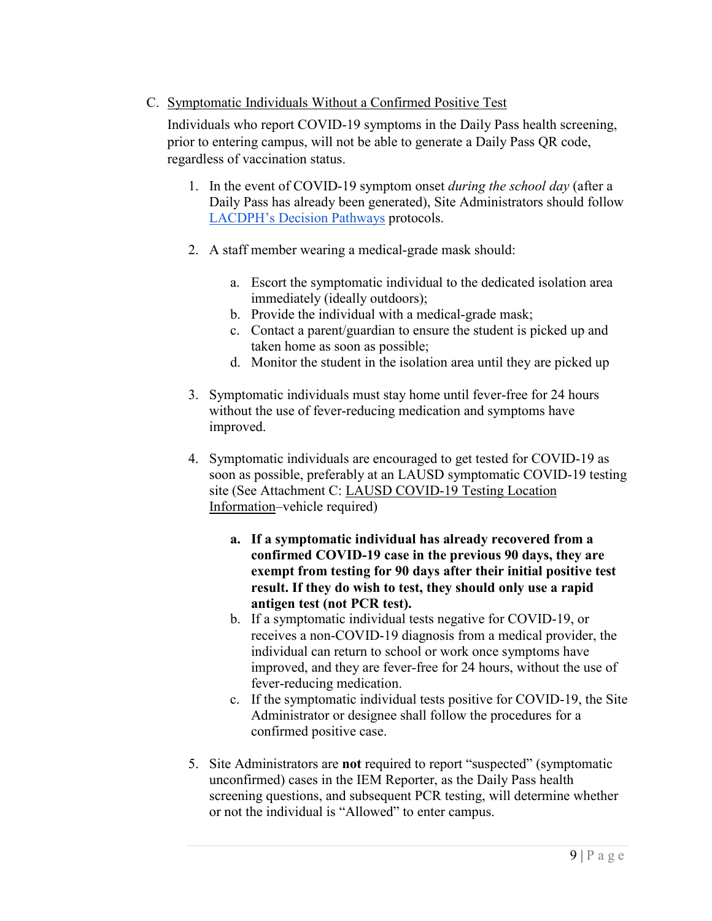# C. Symptomatic Individuals Without a Confirmed Positive Test

Individuals who report COVID-19 symptoms in the Daily Pass health screening, prior to entering campus, will not be able to generate a Daily Pass QR code, regardless of vaccination status.

- 1. In the event of COVID-19 symptom onset *during the school day* (after a Daily Pass has already been generated), Site Administrators should follow [LACDPH's Decision Pathways](http://www.publichealth.lacounty.gov/media/Coronavirus/docs/education/ScreeningEducationSettings.pdf) protocols.
- 2. A staff member wearing a medical-grade mask should:
	- a. Escort the symptomatic individual to the dedicated isolation area immediately (ideally outdoors);
	- b. Provide the individual with a medical-grade mask;
	- c. Contact a parent/guardian to ensure the student is picked up and taken home as soon as possible;
	- d. Monitor the student in the isolation area until they are picked up
- 3. Symptomatic individuals must stay home until fever-free for 24 hours without the use of fever-reducing medication and symptoms have improved.
- 4. Symptomatic individuals are encouraged to get tested for COVID-19 as soon as possible, preferably at an LAUSD symptomatic COVID-19 testing site (See Attachment C: [LAUSD COVID-19 Testing Location](https://drive.google.com/file/d/1GGP24etjaxo5XuceZQzUzRMCCioAUrLR/view?usp=sharing)  [Information–](https://drive.google.com/file/d/1GGP24etjaxo5XuceZQzUzRMCCioAUrLR/view?usp=sharing)vehicle required)
	- **a. If a symptomatic individual has already recovered from a confirmed COVID-19 case in the previous 90 days, they are exempt from testing for 90 days after their initial positive test result. If they do wish to test, they should only use a rapid antigen test (not PCR test).**
	- b. If a symptomatic individual tests negative for COVID-19, or receives a non-COVID-19 diagnosis from a medical provider, the individual can return to school or work once symptoms have improved, and they are fever-free for 24 hours, without the use of fever-reducing medication.
	- c. If the symptomatic individual tests positive for COVID-19, the Site Administrator or designee shall follow the procedures for a confirmed positive case.
- 5. Site Administrators are **not** required to report "suspected" (symptomatic unconfirmed) cases in the IEM Reporter, as the Daily Pass health screening questions, and subsequent PCR testing, will determine whether or not the individual is "Allowed" to enter campus.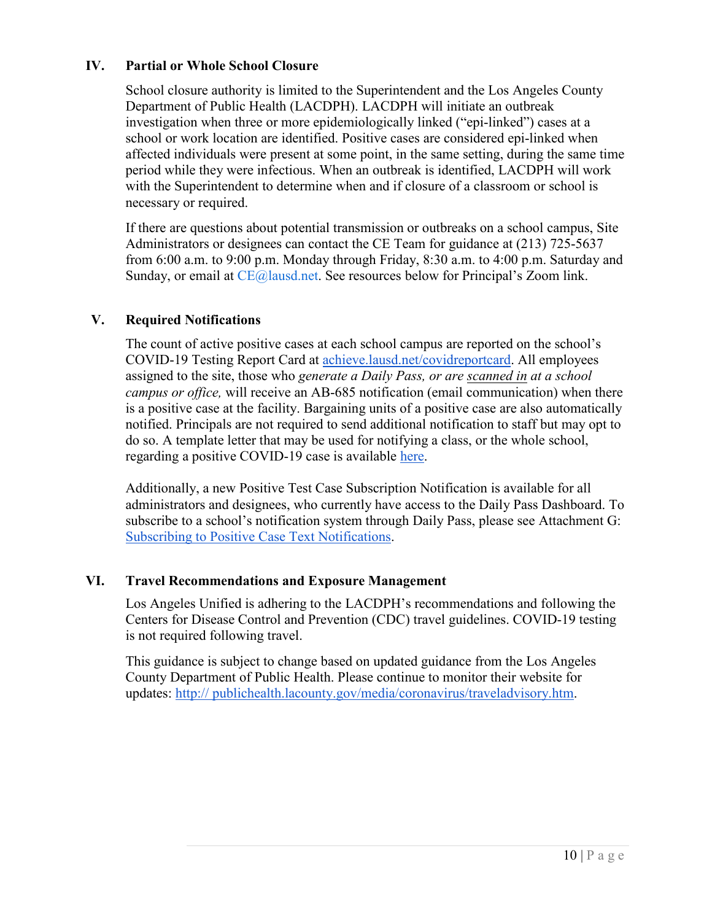#### **IV. Partial or Whole School Closure**

School closure authority is limited to the Superintendent and the Los Angeles County Department of Public Health (LACDPH). LACDPH will initiate an outbreak investigation when three or more epidemiologically linked ("epi-linked") cases at a school or work location are identified. Positive cases are considered epi-linked when affected individuals were present at some point, in the same setting, during the same time period while they were infectious. When an outbreak is identified, LACDPH will work with the Superintendent to determine when and if closure of a classroom or school is necessary or required.

If there are questions about potential transmission or outbreaks on a school campus, Site Administrators or designees can contact the CE Team for guidance at (213) 725-5637 from 6:00 a.m. to 9:00 p.m. Monday through Friday, 8:30 a.m. to 4:00 p.m. Saturday and Sunday, or email at CE@lausd.net. See resources below for Principal's Zoom link.

#### **V. Required Notifications**

The count of active positive cases at each school campus are reported on the school's COVID-19 Testing Report Card at [achieve.lausd.net/covidreportcard.](http://achieve.lausd.net/covidreportcard) All employees assigned to the site, those who *generate a Daily Pass, or are scanned in at a school campus or office,* will receive an AB-685 notification (email communication) when there is a positive case at the facility. Bargaining units of a positive case are also automatically notified. Principals are not required to send additional notification to staff but may opt to do so. A template letter that may be used for notifying a class, or the whole school, regarding a positive COVID-19 case is available [here.](https://docs.google.com/document/d/1KbpJzK_V1Zw3WPoREWztjlBmdVSwHqfQ/copy)

Additionally, a new Positive Test Case Subscription Notification is available for all administrators and designees, who currently have access to the Daily Pass Dashboard. To subscribe to a school's notification system through Daily Pass, please see Attachment G: [Subscribing to Positive Case Text Notifications.](https://drive.google.com/file/d/18UwnsjOO1X0UBcfHY0KDjmAxF99f0WWS/view?usp=sharing)

#### **VI. Travel Recommendations and Exposure Management**

Los Angeles Unified is adhering to the LACDPH's recommendations and following the Centers for Disease Control and Prevention (CDC) travel guidelines. COVID-19 testing is not required following travel.

This guidance is subject to change based on updated guidance from the Los Angeles County Department of Public Health. Please continue to monitor their website for updates: [http:// publichealth.lacounty.gov/media/coronavirus/traveladvisory.htm.](http://www.publichealth.lacounty.gov/media/coronavirus/traveladvisory.htm)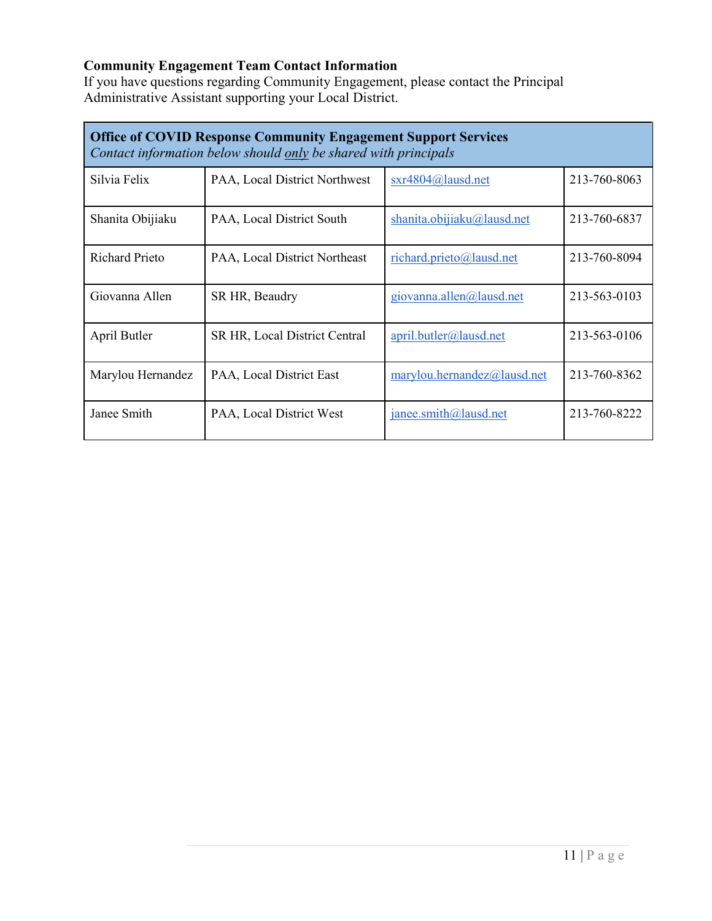#### **Community Engagement Team Contact Information**

If you have questions regarding Community Engagement, please contact the Principal Administrative Assistant supporting your Local District.

| <b>Office of COVID Response Community Engagement Support Services</b><br>Contact information below should only be shared with principals |                               |                              |              |
|------------------------------------------------------------------------------------------------------------------------------------------|-------------------------------|------------------------------|--------------|
| Silvia Felix                                                                                                                             | PAA, Local District Northwest | $sxr4804@la$ lausd.net       | 213-760-8063 |
| Shanita Obijiaku                                                                                                                         | PAA, Local District South     | shanita.obijiaku@lausd.net   | 213-760-6837 |
| <b>Richard Prieto</b>                                                                                                                    | PAA, Local District Northeast | richard.prieto@lausd.net     | 213-760-8094 |
| Giovanna Allen                                                                                                                           | SR HR, Beaudry                | giovanna.allen $@$ lausd.net | 213-563-0103 |
| April Butler                                                                                                                             | SR HR, Local District Central | april.butler@lausd.net       | 213-563-0106 |
| Marylou Hernandez                                                                                                                        | PAA, Local District East      | marylou.hernandez@lausd.net  | 213-760-8362 |
| Janee Smith                                                                                                                              | PAA, Local District West      | janee.smith@lausd.net        | 213-760-8222 |